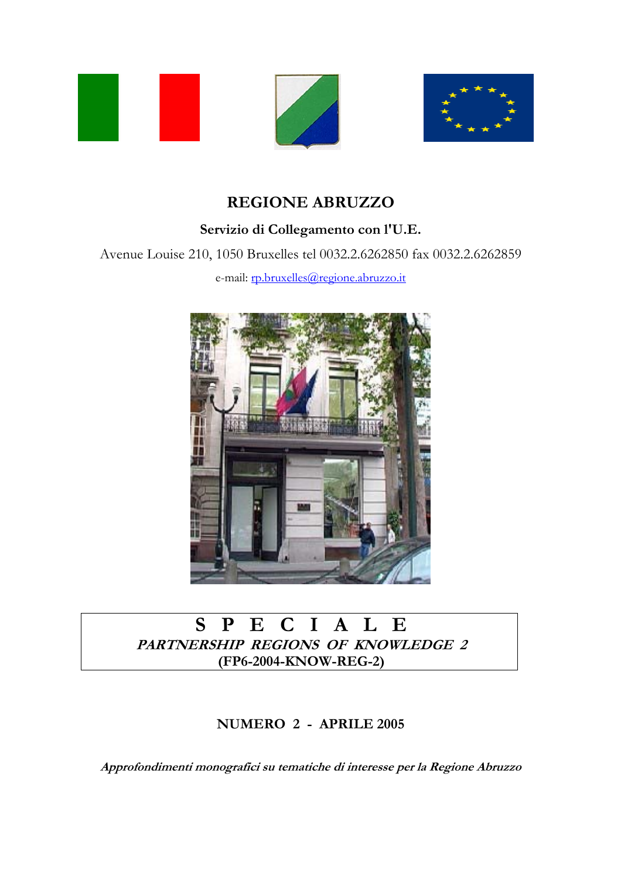



## **REGIONE ABRUZZO**

### **Servizio di Collegamento con l'U.E.**

Avenue Louise 210, 1050 Bruxelles tel 0032.2.6262850 fax 0032.2.6262859

e-mail: rp.bruxelles@regione.abruzzo.it



## **S P E C I A L E PARTNERSHIP REGIONS OF KNOWLEDGE 2 (FP6-2004-KNOW-REG-2)**

### **NUMERO 2 - APRILE 2005**

**Approfondimenti monografici su tematiche di interesse per la Regione Abruzzo**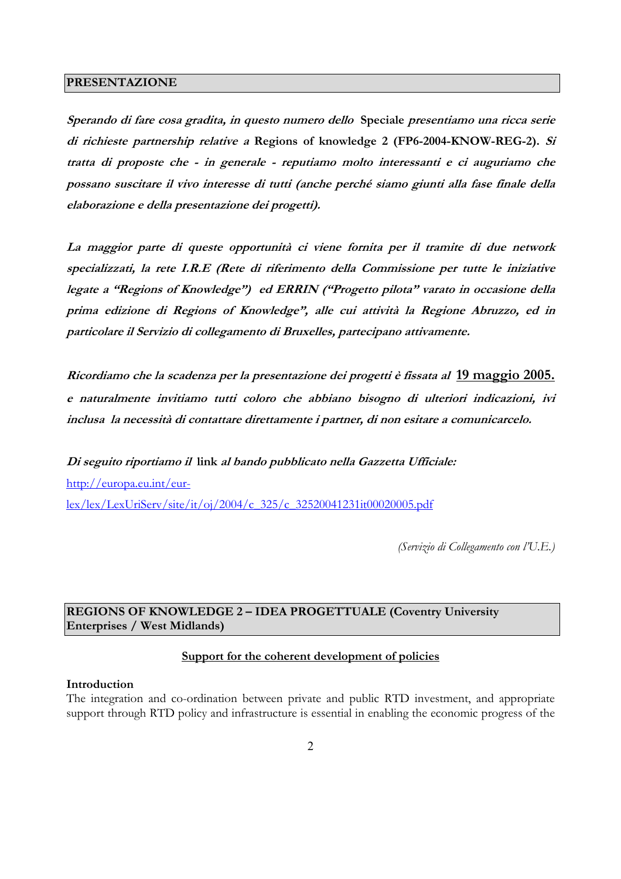#### **PRESENTAZIONE**

**Sperando di fare cosa gradita, in questo numero dello Speciale presentiamo una ricca serie di richieste partnership relative a Regions of knowledge 2 (FP6-2004-KNOW-REG-2). Si tratta di proposte che - in generale - reputiamo molto interessanti e ci auguriamo che possano suscitare il vivo interesse di tutti (anche perché siamo giunti alla fase finale della elaborazione e della presentazione dei progetti).** 

**La maggior parte di queste opportunità ci viene fornita per il tramite di due network specializzati, la rete I.R.E (Rete di riferimento della Commissione per tutte le iniziative legate a "Regions of Knowledge") ed ERRIN ("Progetto pilota" varato in occasione della prima edizione di Regions of Knowledge", alle cui attività la Regione Abruzzo, ed in particolare il Servizio di collegamento di Bruxelles, partecipano attivamente.** 

**Ricordiamo che la scadenza per la presentazione dei progetti è fissata al 19 maggio 2005. e naturalmente invitiamo tutti coloro che abbiano bisogno di ulteriori indicazioni, ivi inclusa la necessità di contattare direttamente i partner, di non esitare a comunicarcelo.** 

**Di seguito riportiamo il link al bando pubblicato nella Gazzetta Ufficiale:**  http://europa.eu.int/eurlex/lex/LexUriServ/site/it/oj/2004/c\_325/c\_32520041231it00020005.pdf

*(Servizio di Collegamento con l'U.E.)* 

#### **REGIONS OF KNOWLEDGE 2 – IDEA PROGETTUALE (Coventry University Enterprises / West Midlands)**

#### **Support for the coherent development of policies**

#### **Introduction**

The integration and co-ordination between private and public RTD investment, and appropriate support through RTD policy and infrastructure is essential in enabling the economic progress of the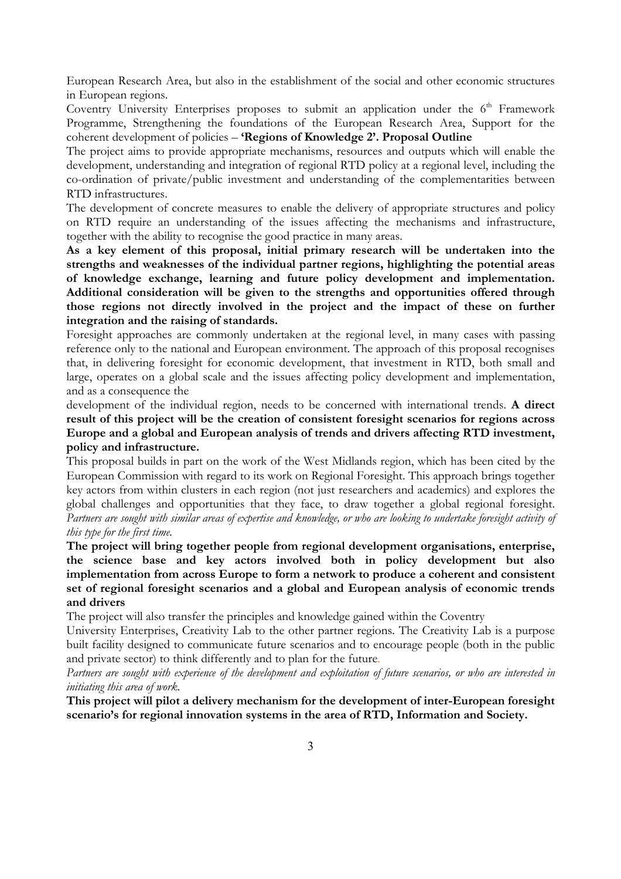European Research Area, but also in the establishment of the social and other economic structures in European regions.

Coventry University Enterprises proposes to submit an application under the  $6<sup>th</sup>$  Framework Programme, Strengthening the foundations of the European Research Area, Support for the coherent development of policies – **'Regions of Knowledge 2'. Proposal Outline**

The project aims to provide appropriate mechanisms, resources and outputs which will enable the development, understanding and integration of regional RTD policy at a regional level, including the co-ordination of private/public investment and understanding of the complementarities between RTD infrastructures.

The development of concrete measures to enable the delivery of appropriate structures and policy on RTD require an understanding of the issues affecting the mechanisms and infrastructure, together with the ability to recognise the good practice in many areas.

**As a key element of this proposal, initial primary research will be undertaken into the strengths and weaknesses of the individual partner regions, highlighting the potential areas of knowledge exchange, learning and future policy development and implementation. Additional consideration will be given to the strengths and opportunities offered through those regions not directly involved in the project and the impact of these on further integration and the raising of standards.** 

Foresight approaches are commonly undertaken at the regional level, in many cases with passing reference only to the national and European environment. The approach of this proposal recognises that, in delivering foresight for economic development, that investment in RTD, both small and large, operates on a global scale and the issues affecting policy development and implementation, and as a consequence the

development of the individual region, needs to be concerned with international trends. **A direct result of this project will be the creation of consistent foresight scenarios for regions across Europe and a global and European analysis of trends and drivers affecting RTD investment, policy and infrastructure.**

This proposal builds in part on the work of the West Midlands region, which has been cited by the European Commission with regard to its work on Regional Foresight. This approach brings together key actors from within clusters in each region (not just researchers and academics) and explores the global challenges and opportunities that they face, to draw together a global regional foresight. *Partners are sought with similar areas of expertise and knowledge, or who are looking to undertake foresight activity of this type for the first time.*

**The project will bring together people from regional development organisations, enterprise, the science base and key actors involved both in policy development but also implementation from across Europe to form a network to produce a coherent and consistent set of regional foresight scenarios and a global and European analysis of economic trends and drivers** 

The project will also transfer the principles and knowledge gained within the Coventry

University Enterprises, Creativity Lab to the other partner regions. The Creativity Lab is a purpose built facility designed to communicate future scenarios and to encourage people (both in the public and private sector) to think differently and to plan for the future.

*Partners are sought with experience of the development and exploitation of future scenarios, or who are interested in initiating this area of work.* 

**This project will pilot a delivery mechanism for the development of inter-European foresight scenario's for regional innovation systems in the area of RTD, Information and Society.**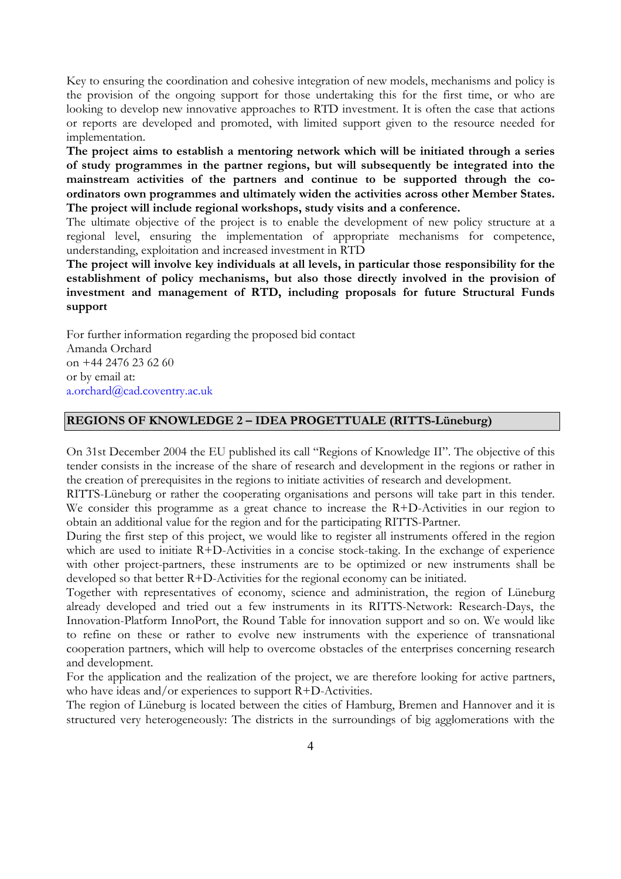Key to ensuring the coordination and cohesive integration of new models, mechanisms and policy is the provision of the ongoing support for those undertaking this for the first time, or who are looking to develop new innovative approaches to RTD investment. It is often the case that actions or reports are developed and promoted, with limited support given to the resource needed for implementation.

**The project aims to establish a mentoring network which will be initiated through a series of study programmes in the partner regions, but will subsequently be integrated into the mainstream activities of the partners and continue to be supported through the coordinators own programmes and ultimately widen the activities across other Member States. The project will include regional workshops, study visits and a conference.** 

The ultimate objective of the project is to enable the development of new policy structure at a regional level, ensuring the implementation of appropriate mechanisms for competence, understanding, exploitation and increased investment in RTD

**The project will involve key individuals at all levels, in particular those responsibility for the establishment of policy mechanisms, but also those directly involved in the provision of investment and management of RTD, including proposals for future Structural Funds support** 

For further information regarding the proposed bid contact Amanda Orchard on +44 2476 23 62 60 or by email at: a.orchard@cad.coventry.ac.uk

#### **REGIONS OF KNOWLEDGE 2 – IDEA PROGETTUALE (RITTS-Lüneburg)**

On 31st December 2004 the EU published its call "Regions of Knowledge II". The objective of this tender consists in the increase of the share of research and development in the regions or rather in the creation of prerequisites in the regions to initiate activities of research and development.

RITTS-Lüneburg or rather the cooperating organisations and persons will take part in this tender. We consider this programme as a great chance to increase the R+D-Activities in our region to obtain an additional value for the region and for the participating RITTS-Partner.

During the first step of this project, we would like to register all instruments offered in the region which are used to initiate R+D-Activities in a concise stock-taking. In the exchange of experience with other project-partners, these instruments are to be optimized or new instruments shall be developed so that better R+D-Activities for the regional economy can be initiated.

Together with representatives of economy, science and administration, the region of Lüneburg already developed and tried out a few instruments in its RITTS-Network: Research-Days, the Innovation-Platform InnoPort, the Round Table for innovation support and so on. We would like to refine on these or rather to evolve new instruments with the experience of transnational cooperation partners, which will help to overcome obstacles of the enterprises concerning research and development.

For the application and the realization of the project, we are therefore looking for active partners, who have ideas and/or experiences to support R+D-Activities.

The region of Lüneburg is located between the cities of Hamburg, Bremen and Hannover and it is structured very heterogeneously: The districts in the surroundings of big agglomerations with the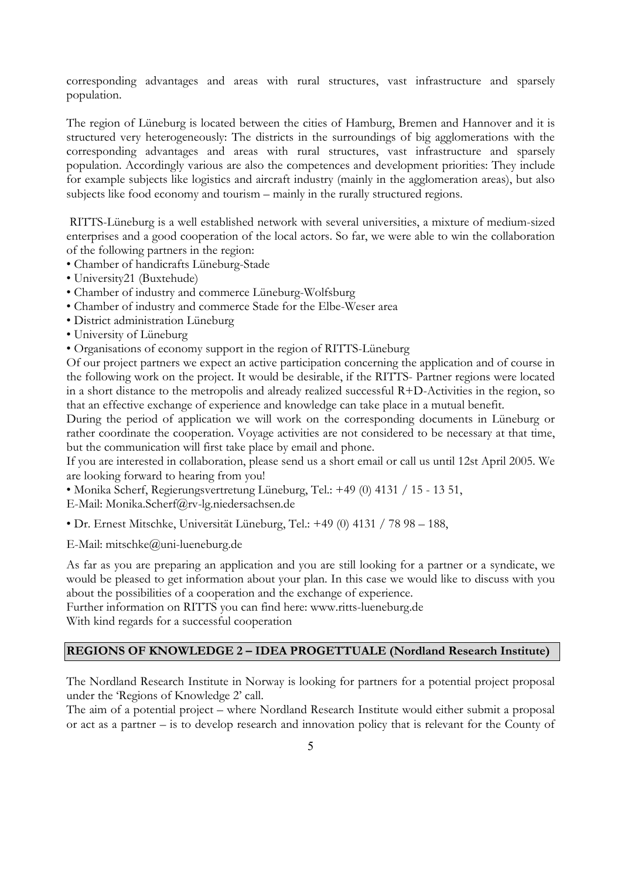corresponding advantages and areas with rural structures, vast infrastructure and sparsely population.

The region of Lüneburg is located between the cities of Hamburg, Bremen and Hannover and it is structured very heterogeneously: The districts in the surroundings of big agglomerations with the corresponding advantages and areas with rural structures, vast infrastructure and sparsely population. Accordingly various are also the competences and development priorities: They include for example subjects like logistics and aircraft industry (mainly in the agglomeration areas), but also subjects like food economy and tourism – mainly in the rurally structured regions.

 RITTS-Lüneburg is a well established network with several universities, a mixture of medium-sized enterprises and a good cooperation of the local actors. So far, we were able to win the collaboration of the following partners in the region:

- Chamber of handicrafts Lüneburg-Stade
- University21 (Buxtehude)
- Chamber of industry and commerce Lüneburg-Wolfsburg
- Chamber of industry and commerce Stade for the Elbe-Weser area
- District administration Lüneburg
- University of Lüneburg
- Organisations of economy support in the region of RITTS-Lüneburg

Of our project partners we expect an active participation concerning the application and of course in the following work on the project. It would be desirable, if the RITTS- Partner regions were located in a short distance to the metropolis and already realized successful R+D-Activities in the region, so that an effective exchange of experience and knowledge can take place in a mutual benefit.

During the period of application we will work on the corresponding documents in Lüneburg or rather coordinate the cooperation. Voyage activities are not considered to be necessary at that time, but the communication will first take place by email and phone.

If you are interested in collaboration, please send us a short email or call us until 12st April 2005. We are looking forward to hearing from you!

• Monika Scherf, Regierungsvertretung Lüneburg, Tel.: +49 (0) 4131 / 15 - 13 51,

E-Mail: Monika.Scherf@rv-lg.niedersachsen.de

• Dr. Ernest Mitschke, Universität Lüneburg, Tel.: +49 (0) 4131 / 78 98 – 188,

E-Mail: mitschke@uni-lueneburg.de

As far as you are preparing an application and you are still looking for a partner or a syndicate, we would be pleased to get information about your plan. In this case we would like to discuss with you about the possibilities of a cooperation and the exchange of experience.

Further information on RITTS you can find here: www.ritts-lueneburg.de With kind regards for a successful cooperation

#### **REGIONS OF KNOWLEDGE 2 – IDEA PROGETTUALE (Nordland Research Institute)**

The Nordland Research Institute in Norway is looking for partners for a potential project proposal under the 'Regions of Knowledge 2' call.

The aim of a potential project – where Nordland Research Institute would either submit a proposal or act as a partner – is to develop research and innovation policy that is relevant for the County of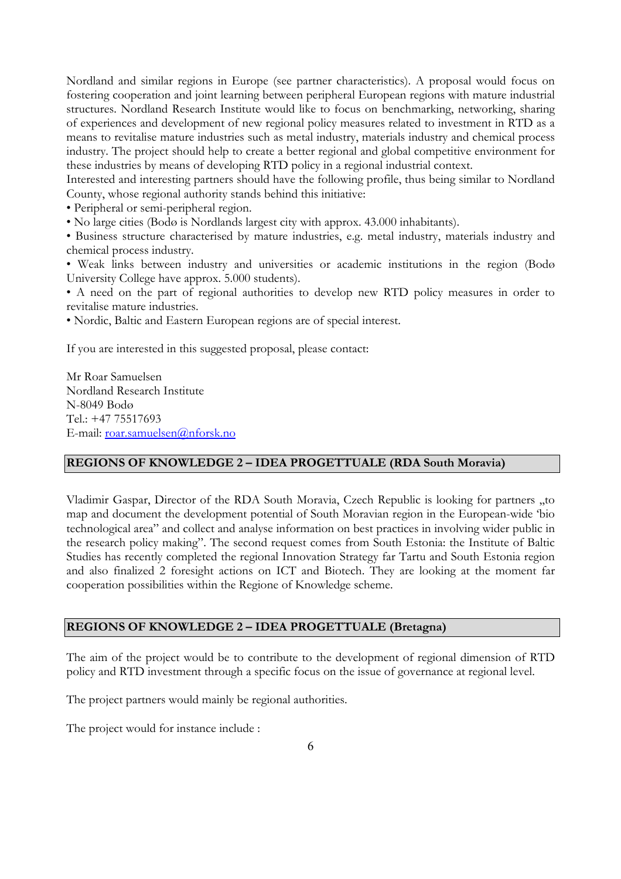Nordland and similar regions in Europe (see partner characteristics). A proposal would focus on fostering cooperation and joint learning between peripheral European regions with mature industrial structures. Nordland Research Institute would like to focus on benchmarking, networking, sharing of experiences and development of new regional policy measures related to investment in RTD as a means to revitalise mature industries such as metal industry, materials industry and chemical process industry. The project should help to create a better regional and global competitive environment for these industries by means of developing RTD policy in a regional industrial context.

Interested and interesting partners should have the following profile, thus being similar to Nordland County, whose regional authority stands behind this initiative:

• Peripheral or semi-peripheral region.

• No large cities (Bodø is Nordlands largest city with approx. 43.000 inhabitants).

• Business structure characterised by mature industries, e.g. metal industry, materials industry and chemical process industry.

• Weak links between industry and universities or academic institutions in the region (Bodø University College have approx. 5.000 students).

• A need on the part of regional authorities to develop new RTD policy measures in order to revitalise mature industries.

• Nordic, Baltic and Eastern European regions are of special interest.

If you are interested in this suggested proposal, please contact:

Mr Roar Samuelsen Nordland Research Institute N-8049 Bodø Tel.: +47 75517693 E-mail: roar.samuelsen@nforsk.no

#### **REGIONS OF KNOWLEDGE 2 – IDEA PROGETTUALE (RDA South Moravia)**

Vladimir Gaspar, Director of the RDA South Moravia, Czech Republic is looking for partners ,,to map and document the development potential of South Moravian region in the European-wide 'bio technological area" and collect and analyse information on best practices in involving wider public in the research policy making". The second request comes from South Estonia: the Institute of Baltic Studies has recently completed the regional Innovation Strategy far Tartu and South Estonia region and also finalized 2 foresight actions on ICT and Biotech. They are looking at the moment far cooperation possibilities within the Regione of Knowledge scheme.

#### **REGIONS OF KNOWLEDGE 2 – IDEA PROGETTUALE (Bretagna)**

The aim of the project would be to contribute to the development of regional dimension of RTD policy and RTD investment through a specific focus on the issue of governance at regional level.

The project partners would mainly be regional authorities.

The project would for instance include :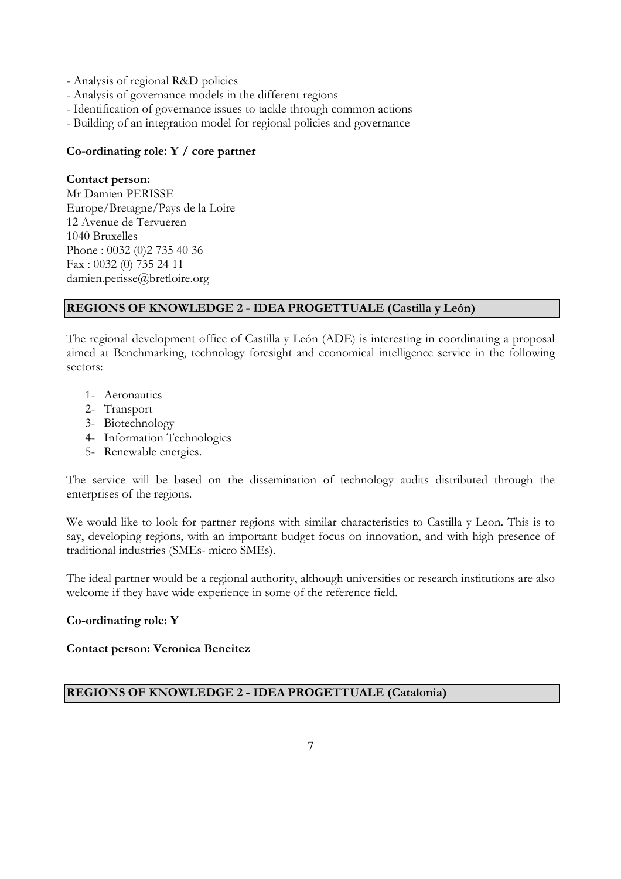- Analysis of regional R&D policies
- Analysis of governance models in the different regions
- Identification of governance issues to tackle through common actions
- Building of an integration model for regional policies and governance

#### **Co-ordinating role: Y / core partner**

#### **Contact person:**

Mr Damien PERISSE Europe/Bretagne/Pays de la Loire 12 Avenue de Tervueren 1040 Bruxelles Phone : 0032 (0)2 735 40 36 Fax : 0032 (0) 735 24 11 damien.perisse@bretloire.org

#### **REGIONS OF KNOWLEDGE 2 - IDEA PROGETTUALE (Castilla y León)**

The regional development office of Castilla y León (ADE) is interesting in coordinating a proposal aimed at Benchmarking, technology foresight and economical intelligence service in the following sectors:

- 1- Aeronautics
- 2- Transport
- 3- Biotechnology
- 4- Information Technologies
- 5- Renewable energies.

The service will be based on the dissemination of technology audits distributed through the enterprises of the regions.

We would like to look for partner regions with similar characteristics to Castilla y Leon. This is to say, developing regions, with an important budget focus on innovation, and with high presence of traditional industries (SMEs- micro SMEs).

The ideal partner would be a regional authority, although universities or research institutions are also welcome if they have wide experience in some of the reference field.

#### **Co-ordinating role: Y**

#### **Contact person: Veronica Beneitez**

#### **REGIONS OF KNOWLEDGE 2 - IDEA PROGETTUALE (Catalonia)**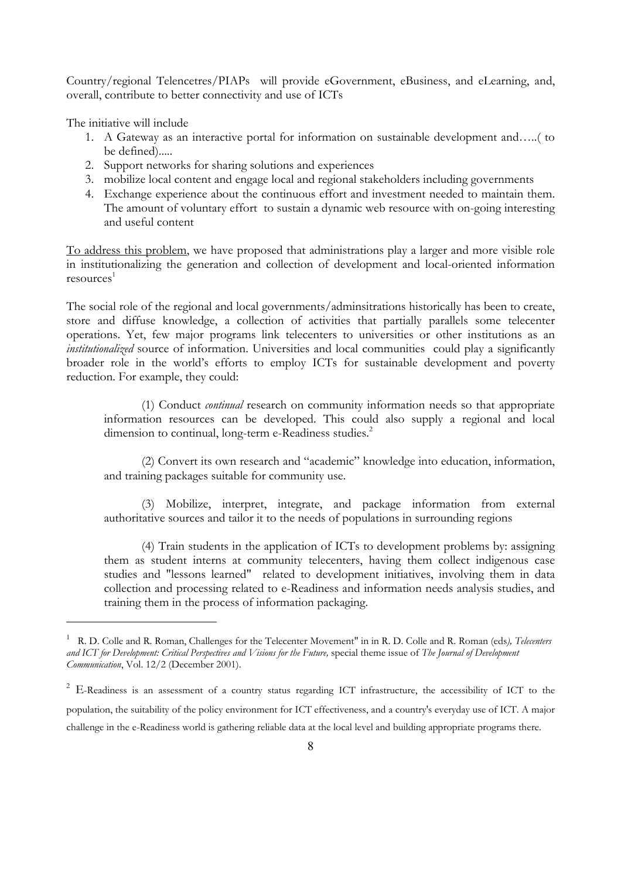Country/regional Telencetres/PIAPs will provide eGovernment, eBusiness, and eLearning, and, overall, contribute to better connectivity and use of ICTs

The initiative will include

 $\overline{a}$ 

- 1. A Gateway as an interactive portal for information on sustainable development and…..( to be defined).....
- 2. Support networks for sharing solutions and experiences
- 3. mobilize local content and engage local and regional stakeholders including governments
- 4. Exchange experience about the continuous effort and investment needed to maintain them. The amount of voluntary effort to sustain a dynamic web resource with on-going interesting and useful content

To address this problem, we have proposed that administrations play a larger and more visible role in institutionalizing the generation and collection of development and local-oriented information  $resolrices<sup>1</sup>$ 

The social role of the regional and local governments/adminsitrations historically has been to create, store and diffuse knowledge, a collection of activities that partially parallels some telecenter operations. Yet, few major programs link telecenters to universities or other institutions as an *institutionalized* source of information. Universities and local communities could play a significantly broader role in the world's efforts to employ ICTs for sustainable development and poverty reduction. For example, they could:

 (1) Conduct *continual* research on community information needs so that appropriate information resources can be developed. This could also supply a regional and local dimension to continual, long-term e-Readiness studies.<sup>2</sup>

 (2) Convert its own research and "academic" knowledge into education, information, and training packages suitable for community use.

 (3) Mobilize, interpret, integrate, and package information from external authoritative sources and tailor it to the needs of populations in surrounding regions

 (4) Train students in the application of ICTs to development problems by: assigning them as student interns at community telecenters, having them collect indigenous case studies and "lessons learned" related to development initiatives, involving them in data collection and processing related to e-Readiness and information needs analysis studies, and training them in the process of information packaging.

<sup>1</sup> R. D. Colle and R. Roman, Challenges for the Telecenter Movement" in in R. D. Colle and R. Roman (eds*), Telecenters and ICT for Development: Critical Perspectives and Visions for the Future,* special theme issue of *The Journal of Development Communication*, Vol. 12/2 (December 2001).

<sup>&</sup>lt;sup>2</sup> E-Readiness is an assessment of a country status regarding ICT infrastructure, the accessibility of ICT to the population, the suitability of the policy environment for ICT effectiveness, and a country's everyday use of ICT. A major challenge in the e-Readiness world is gathering reliable data at the local level and building appropriate programs there.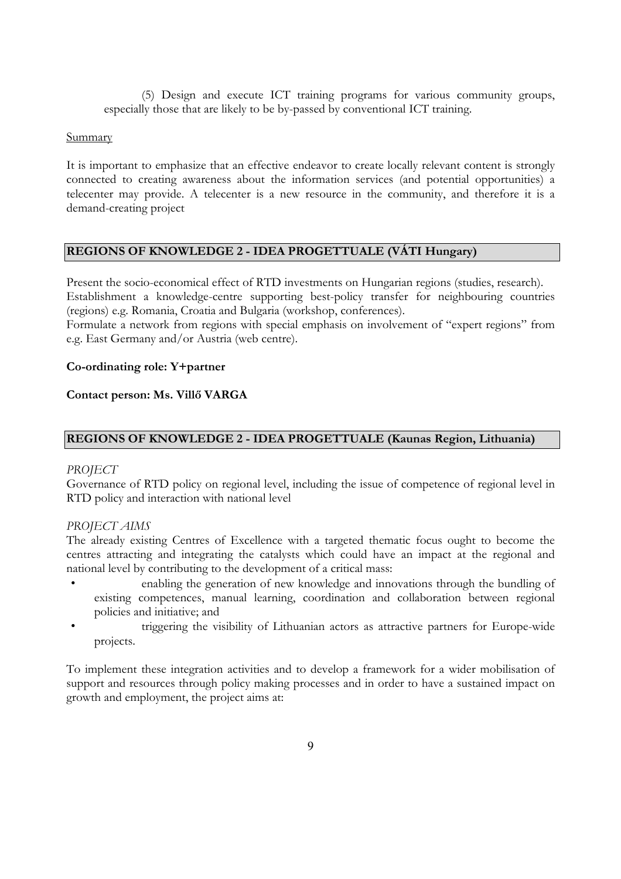(5) Design and execute ICT training programs for various community groups, especially those that are likely to be by-passed by conventional ICT training.

#### Summary

It is important to emphasize that an effective endeavor to create locally relevant content is strongly connected to creating awareness about the information services (and potential opportunities) a telecenter may provide. A telecenter is a new resource in the community, and therefore it is a demand-creating project

#### **REGIONS OF KNOWLEDGE 2 - IDEA PROGETTUALE (VÁTI Hungary)**

Present the socio-economical effect of RTD investments on Hungarian regions (studies, research). Establishment a knowledge-centre supporting best-policy transfer for neighbouring countries (regions) e.g. Romania, Croatia and Bulgaria (workshop, conferences).

Formulate a network from regions with special emphasis on involvement of "expert regions" from e.g. East Germany and/or Austria (web centre).

#### **Co-ordinating role: Y+partner**

#### **Contact person: Ms. Villő VARGA**

#### **REGIONS OF KNOWLEDGE 2 - IDEA PROGETTUALE (Kaunas Region, Lithuania)**

#### *PROJECT*

Governance of RTD policy on regional level, including the issue of competence of regional level in RTD policy and interaction with national level

#### *PROJECT AIMS*

The already existing Centres of Excellence with a targeted thematic focus ought to become the centres attracting and integrating the catalysts which could have an impact at the regional and national level by contributing to the development of a critical mass:

- enabling the generation of new knowledge and innovations through the bundling of existing competences, manual learning, coordination and collaboration between regional policies and initiative; and
- triggering the visibility of Lithuanian actors as attractive partners for Europe-wide projects.

To implement these integration activities and to develop a framework for a wider mobilisation of support and resources through policy making processes and in order to have a sustained impact on growth and employment, the project aims at: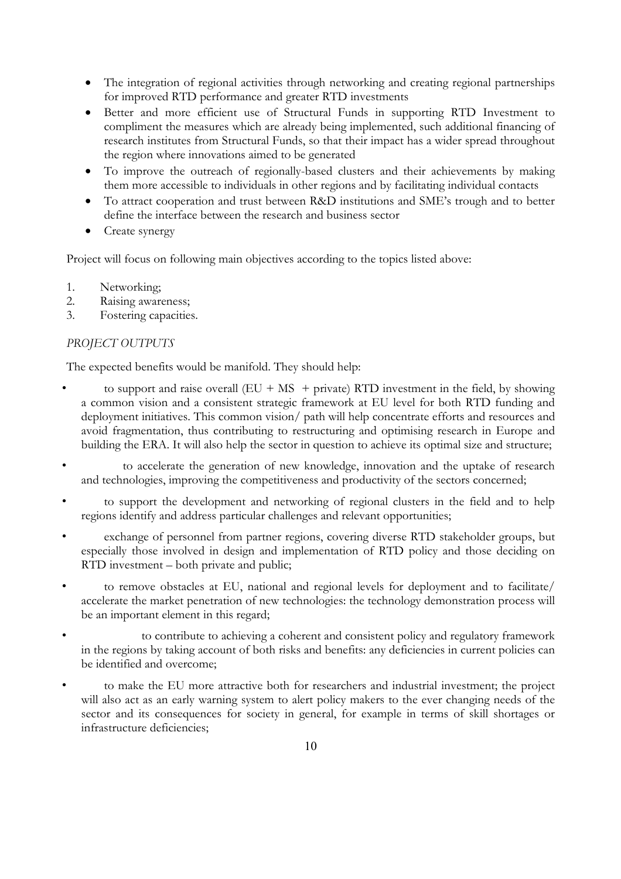- The integration of regional activities through networking and creating regional partnerships for improved RTD performance and greater RTD investments
- Better and more efficient use of Structural Funds in supporting RTD Investment to compliment the measures which are already being implemented, such additional financing of research institutes from Structural Funds, so that their impact has a wider spread throughout the region where innovations aimed to be generated
- To improve the outreach of regionally-based clusters and their achievements by making them more accessible to individuals in other regions and by facilitating individual contacts
- To attract cooperation and trust between R&D institutions and SME's trough and to better define the interface between the research and business sector
- Create synergy

Project will focus on following main objectives according to the topics listed above:

- 1. Networking;
- 2. Raising awareness;
- 3. Fostering capacities.

#### *PROJECT OUTPUTS*

The expected benefits would be manifold. They should help:

- to support and raise overall  $(EU + MS + \text{private})$  RTD investment in the field, by showing a common vision and a consistent strategic framework at EU level for both RTD funding and deployment initiatives. This common vision/ path will help concentrate efforts and resources and avoid fragmentation, thus contributing to restructuring and optimising research in Europe and building the ERA. It will also help the sector in question to achieve its optimal size and structure;
- to accelerate the generation of new knowledge, innovation and the uptake of research and technologies, improving the competitiveness and productivity of the sectors concerned;
- to support the development and networking of regional clusters in the field and to help regions identify and address particular challenges and relevant opportunities;
- exchange of personnel from partner regions, covering diverse RTD stakeholder groups, but especially those involved in design and implementation of RTD policy and those deciding on RTD investment – both private and public;
- to remove obstacles at EU, national and regional levels for deployment and to facilitate/ accelerate the market penetration of new technologies: the technology demonstration process will be an important element in this regard;
- to contribute to achieving a coherent and consistent policy and regulatory framework in the regions by taking account of both risks and benefits: any deficiencies in current policies can be identified and overcome;
- to make the EU more attractive both for researchers and industrial investment; the project will also act as an early warning system to alert policy makers to the ever changing needs of the sector and its consequences for society in general, for example in terms of skill shortages or infrastructure deficiencies;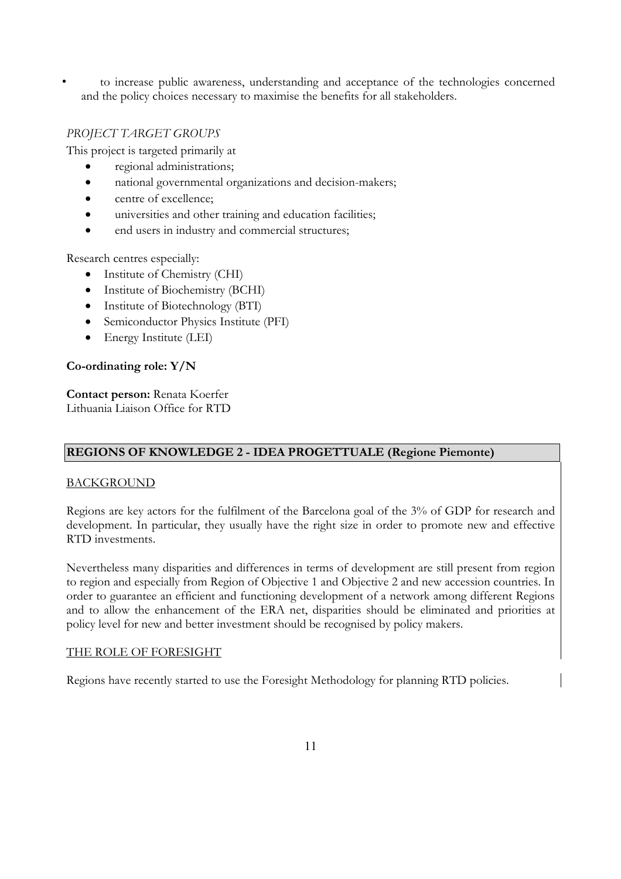• to increase public awareness, understanding and acceptance of the technologies concerned and the policy choices necessary to maximise the benefits for all stakeholders.

### *PROJECT TARGET GROUPS*

This project is targeted primarily at

- regional administrations;
- national governmental organizations and decision-makers;
- centre of excellence;
- universities and other training and education facilities;
- end users in industry and commercial structures;

Research centres especially:

- Institute of Chemistry (CHI)
- Institute of Biochemistry (BCHI)
- Institute of Biotechnology (BTI)
- Semiconductor Physics Institute (PFI)
- Energy Institute (LEI)

#### **Co-ordinating role: Y/N**

**Contact person:** Renata Koerfer Lithuania Liaison Office for RTD

#### **REGIONS OF KNOWLEDGE 2 - IDEA PROGETTUALE (Regione Piemonte)**

#### BACKGROUND

Regions are key actors for the fulfilment of the Barcelona goal of the 3% of GDP for research and development. In particular, they usually have the right size in order to promote new and effective RTD investments.

Nevertheless many disparities and differences in terms of development are still present from region to region and especially from Region of Objective 1 and Objective 2 and new accession countries. In order to guarantee an efficient and functioning development of a network among different Regions and to allow the enhancement of the ERA net, disparities should be eliminated and priorities at policy level for new and better investment should be recognised by policy makers.

#### THE ROLE OF FORESIGHT

Regions have recently started to use the Foresight Methodology for planning RTD policies.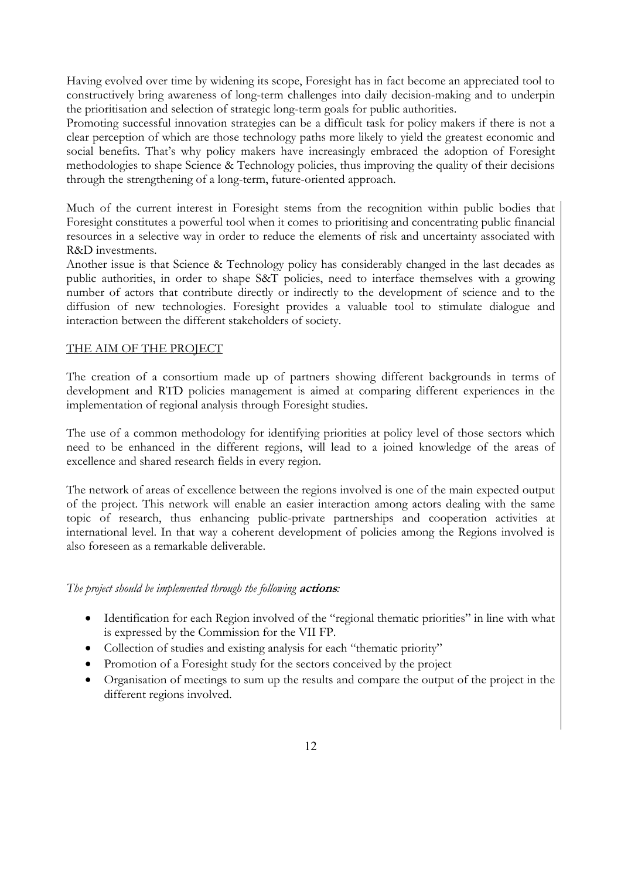Having evolved over time by widening its scope, Foresight has in fact become an appreciated tool to constructively bring awareness of long-term challenges into daily decision-making and to underpin the prioritisation and selection of strategic long-term goals for public authorities.

Promoting successful innovation strategies can be a difficult task for policy makers if there is not a clear perception of which are those technology paths more likely to yield the greatest economic and social benefits. That's why policy makers have increasingly embraced the adoption of Foresight methodologies to shape Science & Technology policies, thus improving the quality of their decisions through the strengthening of a long-term, future-oriented approach.

Much of the current interest in Foresight stems from the recognition within public bodies that Foresight constitutes a powerful tool when it comes to prioritising and concentrating public financial resources in a selective way in order to reduce the elements of risk and uncertainty associated with R&D investments.

Another issue is that Science & Technology policy has considerably changed in the last decades as public authorities, in order to shape S&T policies, need to interface themselves with a growing number of actors that contribute directly or indirectly to the development of science and to the diffusion of new technologies. Foresight provides a valuable tool to stimulate dialogue and interaction between the different stakeholders of society.

#### THE AIM OF THE PROJECT

The creation of a consortium made up of partners showing different backgrounds in terms of development and RTD policies management is aimed at comparing different experiences in the implementation of regional analysis through Foresight studies.

The use of a common methodology for identifying priorities at policy level of those sectors which need to be enhanced in the different regions, will lead to a joined knowledge of the areas of excellence and shared research fields in every region.

The network of areas of excellence between the regions involved is one of the main expected output of the project. This network will enable an easier interaction among actors dealing with the same topic of research, thus enhancing public-private partnerships and cooperation activities at international level. In that way a coherent development of policies among the Regions involved is also foreseen as a remarkable deliverable.

#### *The project should be implemented through the following* **actions***:*

- Identification for each Region involved of the "regional thematic priorities" in line with what is expressed by the Commission for the VII FP.
- Collection of studies and existing analysis for each "thematic priority"
- Promotion of a Foresight study for the sectors conceived by the project
- Organisation of meetings to sum up the results and compare the output of the project in the different regions involved.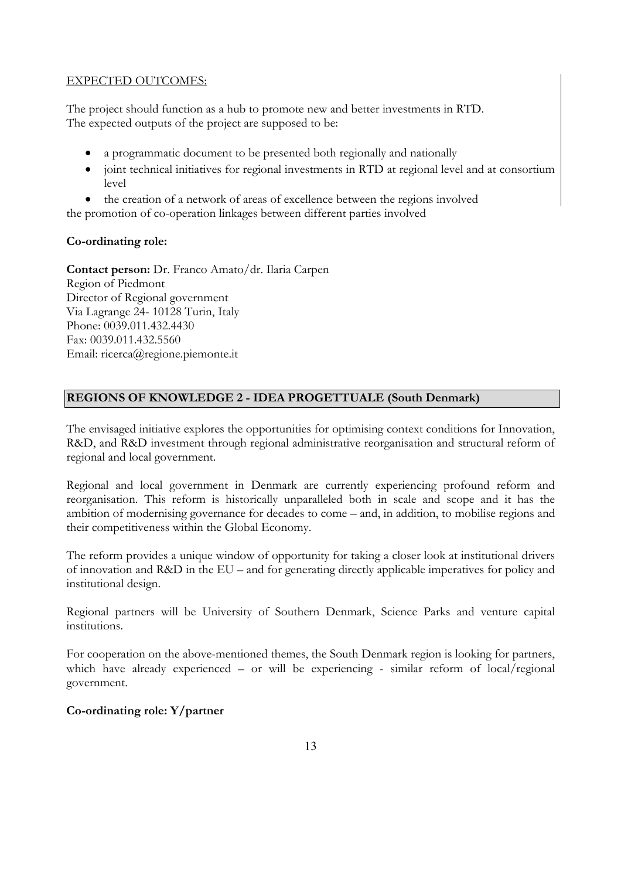#### EXPECTED OUTCOMES:

The project should function as a hub to promote new and better investments in RTD. The expected outputs of the project are supposed to be:

- a programmatic document to be presented both regionally and nationally
- joint technical initiatives for regional investments in RTD at regional level and at consortium level
- the creation of a network of areas of excellence between the regions involved

the promotion of co-operation linkages between different parties involved

#### **Co-ordinating role:**

**Contact person:** Dr. Franco Amato/dr. Ilaria Carpen Region of Piedmont Director of Regional government Via Lagrange 24- 10128 Turin, Italy Phone: 0039.011.432.4430 Fax: 0039.011.432.5560 Email: ricerca@regione.piemonte.it

#### **REGIONS OF KNOWLEDGE 2 - IDEA PROGETTUALE (South Denmark)**

The envisaged initiative explores the opportunities for optimising context conditions for Innovation, R&D, and R&D investment through regional administrative reorganisation and structural reform of regional and local government.

Regional and local government in Denmark are currently experiencing profound reform and reorganisation. This reform is historically unparalleled both in scale and scope and it has the ambition of modernising governance for decades to come – and, in addition, to mobilise regions and their competitiveness within the Global Economy.

The reform provides a unique window of opportunity for taking a closer look at institutional drivers of innovation and R&D in the EU – and for generating directly applicable imperatives for policy and institutional design.

Regional partners will be University of Southern Denmark, Science Parks and venture capital institutions.

For cooperation on the above-mentioned themes, the South Denmark region is looking for partners, which have already experienced – or will be experiencing - similar reform of local/regional government.

#### **Co-ordinating role: Y/partner**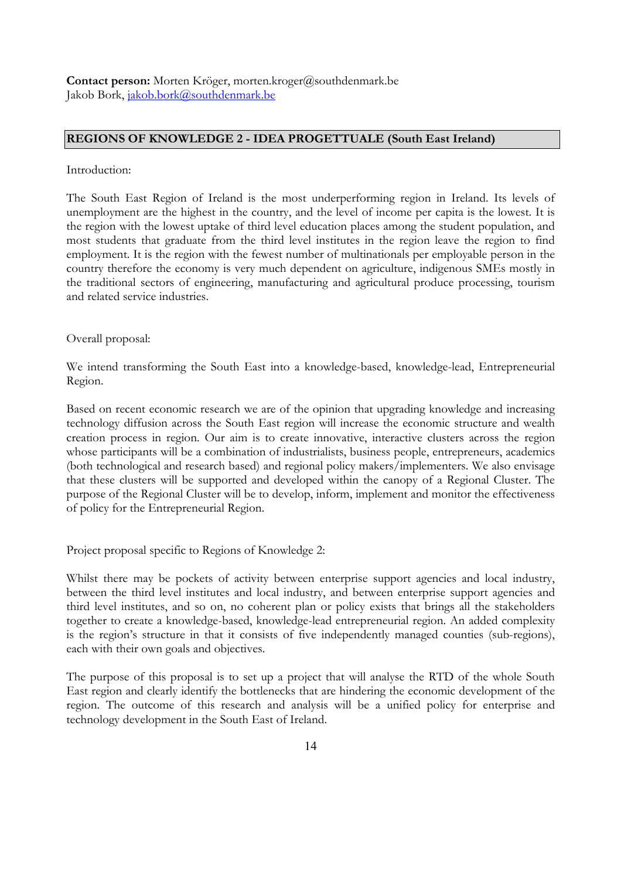Contact person: Morten Kröger, morten.kroger@southdenmark.be Jakob Bork, jakob.bork@southdenmark.be

#### **REGIONS OF KNOWLEDGE 2 - IDEA PROGETTUALE (South East Ireland)**

#### Introduction:

The South East Region of Ireland is the most underperforming region in Ireland. Its levels of unemployment are the highest in the country, and the level of income per capita is the lowest. It is the region with the lowest uptake of third level education places among the student population, and most students that graduate from the third level institutes in the region leave the region to find employment. It is the region with the fewest number of multinationals per employable person in the country therefore the economy is very much dependent on agriculture, indigenous SMEs mostly in the traditional sectors of engineering, manufacturing and agricultural produce processing, tourism and related service industries.

Overall proposal:

We intend transforming the South East into a knowledge-based, knowledge-lead, Entrepreneurial Region.

Based on recent economic research we are of the opinion that upgrading knowledge and increasing technology diffusion across the South East region will increase the economic structure and wealth creation process in region. Our aim is to create innovative, interactive clusters across the region whose participants will be a combination of industrialists, business people, entrepreneurs, academics (both technological and research based) and regional policy makers/implementers. We also envisage that these clusters will be supported and developed within the canopy of a Regional Cluster. The purpose of the Regional Cluster will be to develop, inform, implement and monitor the effectiveness of policy for the Entrepreneurial Region.

Project proposal specific to Regions of Knowledge 2:

Whilst there may be pockets of activity between enterprise support agencies and local industry, between the third level institutes and local industry, and between enterprise support agencies and third level institutes, and so on, no coherent plan or policy exists that brings all the stakeholders together to create a knowledge-based, knowledge-lead entrepreneurial region. An added complexity is the region's structure in that it consists of five independently managed counties (sub-regions), each with their own goals and objectives.

The purpose of this proposal is to set up a project that will analyse the RTD of the whole South East region and clearly identify the bottlenecks that are hindering the economic development of the region. The outcome of this research and analysis will be a unified policy for enterprise and technology development in the South East of Ireland.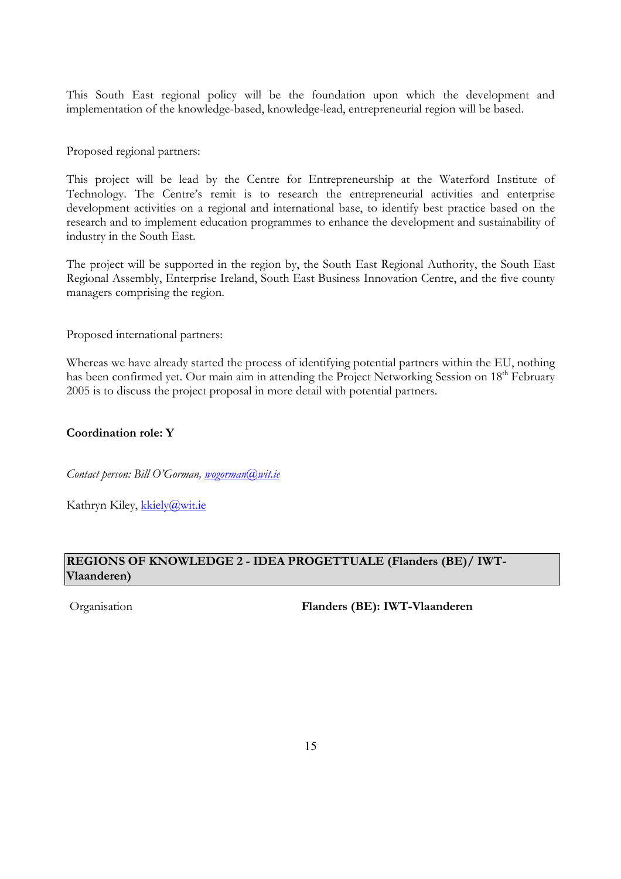This South East regional policy will be the foundation upon which the development and implementation of the knowledge-based, knowledge-lead, entrepreneurial region will be based.

Proposed regional partners:

This project will be lead by the Centre for Entrepreneurship at the Waterford Institute of Technology. The Centre's remit is to research the entrepreneurial activities and enterprise development activities on a regional and international base, to identify best practice based on the research and to implement education programmes to enhance the development and sustainability of industry in the South East.

The project will be supported in the region by, the South East Regional Authority, the South East Regional Assembly, Enterprise Ireland, South East Business Innovation Centre, and the five county managers comprising the region.

Proposed international partners:

Whereas we have already started the process of identifying potential partners within the EU, nothing has been confirmed yet. Our main aim in attending the Project Networking Session on 18<sup>th</sup> February 2005 is to discuss the project proposal in more detail with potential partners.

#### **Coordination role: Y**

*Contact person: Bill O'Gorman, wogorman@wit.ie*

Kathryn Kiley, kkiely@wit.ie

#### **REGIONS OF KNOWLEDGE 2 - IDEA PROGETTUALE (Flanders (BE)/ IWT-Vlaanderen)**

Organisation **Flanders (BE): IWT-Vlaanderen**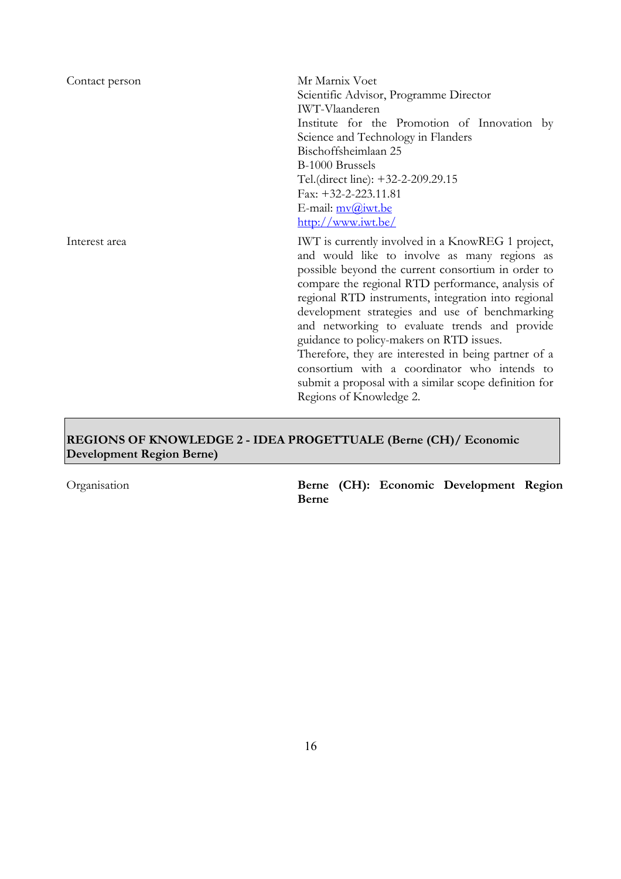| Contact person | Mr Marnix Voet<br>Scientific Advisor, Programme Director<br>IWT-Vlaanderen<br>Institute for the Promotion of Innovation by<br>Science and Technology in Flanders<br>Bischoffsheimlaan 25<br>B-1000 Brussels<br>Tel.(direct line): +32-2-209.29.15                                                                                                                                                                                                                                                                                                                                                              |
|----------------|----------------------------------------------------------------------------------------------------------------------------------------------------------------------------------------------------------------------------------------------------------------------------------------------------------------------------------------------------------------------------------------------------------------------------------------------------------------------------------------------------------------------------------------------------------------------------------------------------------------|
|                | Fax: $+32-2-223.11.81$<br>E-mail: mv@iwt.be<br>http://www.iwt.be/                                                                                                                                                                                                                                                                                                                                                                                                                                                                                                                                              |
| Interest area  | IWT is currently involved in a KnowREG 1 project,<br>and would like to involve as many regions as<br>possible beyond the current consortium in order to<br>compare the regional RTD performance, analysis of<br>regional RTD instruments, integration into regional<br>development strategies and use of benchmarking<br>and networking to evaluate trends and provide<br>guidance to policy-makers on RTD issues.<br>Therefore, they are interested in being partner of a<br>consortium with a coordinator who intends to<br>submit a proposal with a similar scope definition for<br>Regions of Knowledge 2. |

### **REGIONS OF KNOWLEDGE 2 - IDEA PROGETTUALE (Berne (CH)/ Economic Development Region Berne)**

Organisation **Berne (CH): Economic Development Region Berne**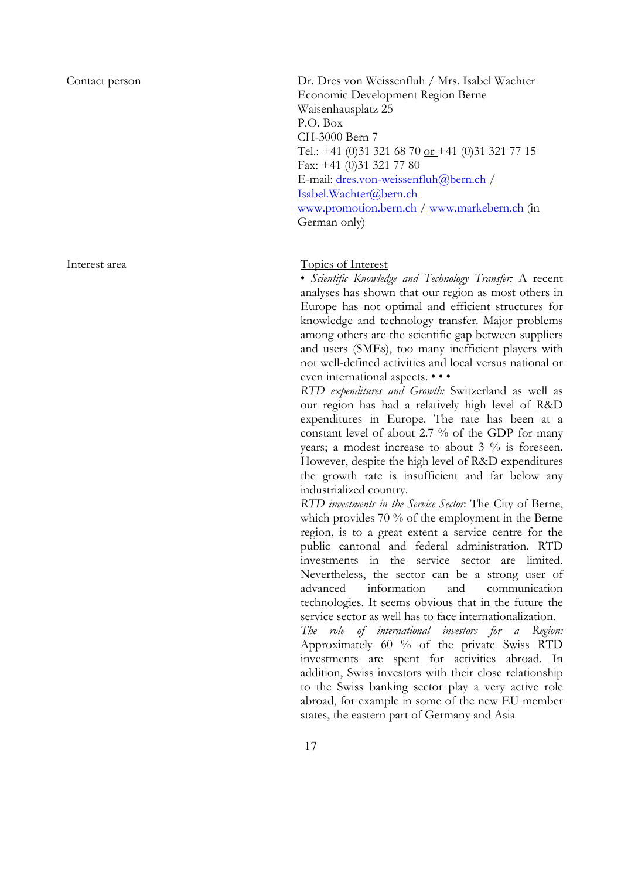Contact person Dr. Dres von Weissenfluh / Mrs. Isabel Wachter Economic Development Region Berne Waisenhausplatz 25 P.O. Box CH-3000 Bern 7 Tel.: +41 (0)31 321 68 70 or +41 (0)31 321 77 15 Fax: +41 (0)31 321 77 80 E-mail: dres.von-weissenfluh@bern.ch / Isabel.Wachter@bern.ch www.promotion.bern.ch / www.markebern.ch (in German only)

#### Interest area Topics of Interest

• *Scientific Knowledge and Technology Transfer:* A recent analyses has shown that our region as most others in Europe has not optimal and efficient structures for knowledge and technology transfer. Major problems among others are the scientific gap between suppliers and users (SMEs), too many inefficient players with not well-defined activities and local versus national or even international aspects. • • •

*RTD expenditures and Growth:* Switzerland as well as our region has had a relatively high level of R&D expenditures in Europe. The rate has been at a constant level of about 2.7 % of the GDP for many years; a modest increase to about  $3\%$  is foreseen. However, despite the high level of R&D expenditures the growth rate is insufficient and far below any industrialized country.

*RTD investments in the Service Sector:* The City of Berne, which provides 70 % of the employment in the Berne region, is to a great extent a service centre for the public cantonal and federal administration. RTD investments in the service sector are limited. Nevertheless, the sector can be a strong user of advanced information and communication technologies. It seems obvious that in the future the service sector as well has to face internationalization.

*The role of international investors for a Region:*  Approximately 60 % of the private Swiss RTD investments are spent for activities abroad. In addition, Swiss investors with their close relationship to the Swiss banking sector play a very active role abroad, for example in some of the new EU member states, the eastern part of Germany and Asia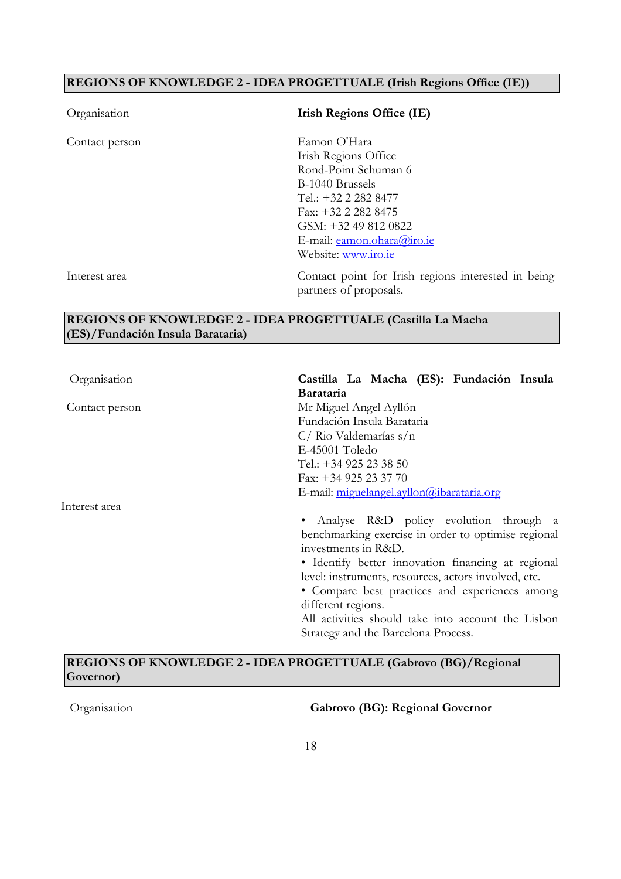### **REGIONS OF KNOWLEDGE 2 - IDEA PROGETTUALE (Irish Regions Office (IE))**

| Organisation   | <b>Irish Regions Office (IE)</b>                                                                                       |
|----------------|------------------------------------------------------------------------------------------------------------------------|
| Contact person | Eamon O'Hara<br>Irish Regions Office<br>Rond-Point Schuman 6                                                           |
|                | B-1040 Brussels<br>Tel.: +32 2 282 8477<br>Fax: $+32$ 2 282 8475<br>GSM: +32 49 812 0822<br>E-mail: eamon.ohara@iro.ie |
| Interest area  | Website: www.iro.ie<br>Contact point for Irish regions interested in being<br>partners of proposals.                   |

#### **REGIONS OF KNOWLEDGE 2 - IDEA PROGETTUALE (Castilla La Macha (ES)/Fundación Insula Barataria)**

| Organisation   | Castilla La Macha (ES): Fundación Insula                                                                                                                                                                                                                                                                                                                                                                |
|----------------|---------------------------------------------------------------------------------------------------------------------------------------------------------------------------------------------------------------------------------------------------------------------------------------------------------------------------------------------------------------------------------------------------------|
|                | <b>Barataria</b>                                                                                                                                                                                                                                                                                                                                                                                        |
| Contact person | Mr Miguel Angel Ayllón                                                                                                                                                                                                                                                                                                                                                                                  |
|                | Fundación Insula Barataria                                                                                                                                                                                                                                                                                                                                                                              |
|                | $C/$ Rio Valdemarías s/n                                                                                                                                                                                                                                                                                                                                                                                |
|                | E-45001 Toledo                                                                                                                                                                                                                                                                                                                                                                                          |
|                | Tel.: +34 925 23 38 50                                                                                                                                                                                                                                                                                                                                                                                  |
|                | Fax: +34 925 23 37 70                                                                                                                                                                                                                                                                                                                                                                                   |
|                | E-mail: miguelangel.ayllon@ibarataria.org                                                                                                                                                                                                                                                                                                                                                               |
| Interest area  |                                                                                                                                                                                                                                                                                                                                                                                                         |
|                | Analyse R&D policy evolution through a<br>benchmarking exercise in order to optimise regional<br>investments in R&D.<br>• Identify better innovation financing at regional<br>level: instruments, resources, actors involved, etc.<br>• Compare best practices and experiences among<br>different regions.<br>All activities should take into account the Lisbon<br>Strategy and the Barcelona Process. |

### **REGIONS OF KNOWLEDGE 2 - IDEA PROGETTUALE (Gabrovo (BG)/Regional Governor)**

Organisation **Gabrovo (BG): Regional Governor**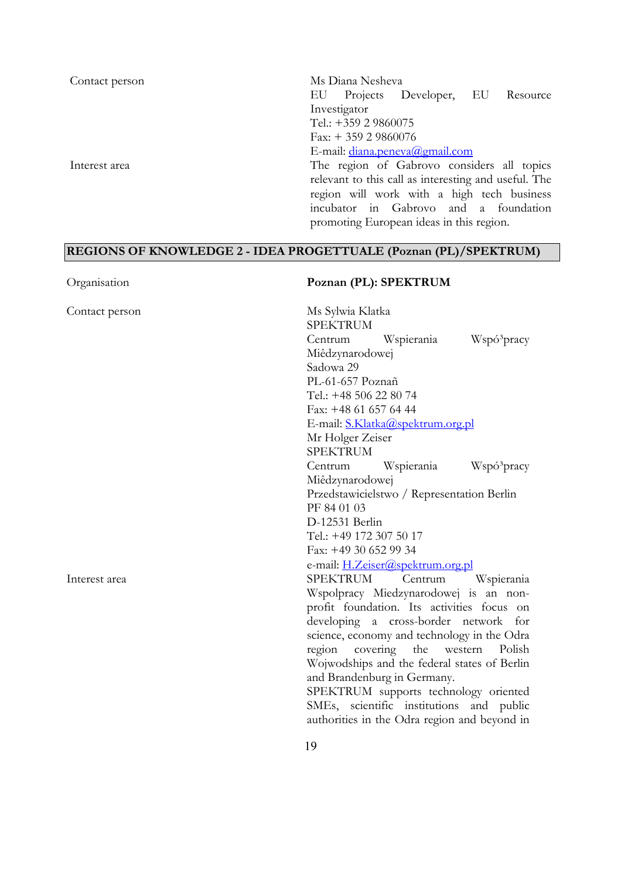| Contact person | Ms Diana Nesheva                                     |
|----------------|------------------------------------------------------|
|                | Projects Developer, EU Resource<br>EU.               |
|                | Investigator                                         |
|                | Tel.: +359 2 9860075                                 |
|                | Fax: $+35929860076$                                  |
|                | E-mail: diana.peneva@gmail.com                       |
| Interest area  | The region of Gabrovo considers all topics           |
|                | relevant to this call as interesting and useful. The |
|                | region will work with a high tech business           |
|                | incubator in Gabrovo and a foundation                |
|                | promoting European ideas in this region.             |

## **REGIONS OF KNOWLEDGE 2 - IDEA PROGETTUALE (Poznan (PL)/SPEKTRUM)**

| Contact person | Ms Sylwia Klatka<br><b>SPEKTRUM</b>            |
|----------------|------------------------------------------------|
|                | Centrum Wspierania<br>Wspó <sup>3</sup> pracy  |
|                | Miêdzynarodowej                                |
|                | Sadowa 29                                      |
|                | PL-61-657 Poznañ                               |
|                | Tel.: +48 506 22 80 74                         |
|                | Fax: +48 61 657 64 44                          |
|                | E-mail: S.Klatka@spektrum.org.pl               |
|                | Mr Holger Zeiser                               |
|                | <b>SPEKTRUM</b>                                |
|                | Centrum Wspierania<br>Wspó <sup>3</sup> pracy  |
|                | Miêdzynarodowej                                |
|                | Przedstawicielstwo / Representation Berlin     |
|                | PF 84 01 03                                    |
|                | D-12531 Berlin                                 |
|                | Tel.: +49 172 307 50 17                        |
|                | Fax: +49 30 652 99 34                          |
|                | e-mail: H.Zeiser@spektrum.org.pl               |
| Interest area  | SPEKTRUM<br>Centrum Wspierania                 |
|                | Wspolpracy Miedzynarodowej is an non-          |
|                | profit foundation. Its activities focus on     |
|                | developing a cross-border network for          |
|                | science, economy and technology in the Odra    |
|                | covering<br>the<br>region<br>western<br>Polish |
|                | Wojwodships and the federal states of Berlin   |
|                | and Brandenburg in Germany.                    |
|                | SPEKTRUM supports technology oriented          |
|                | SMEs, scientific institutions and public       |
|                | authorities in the Odra region and beyond in   |
|                | 19                                             |
|                |                                                |

### Organisation **Poznan (PL): SPEKTRUM**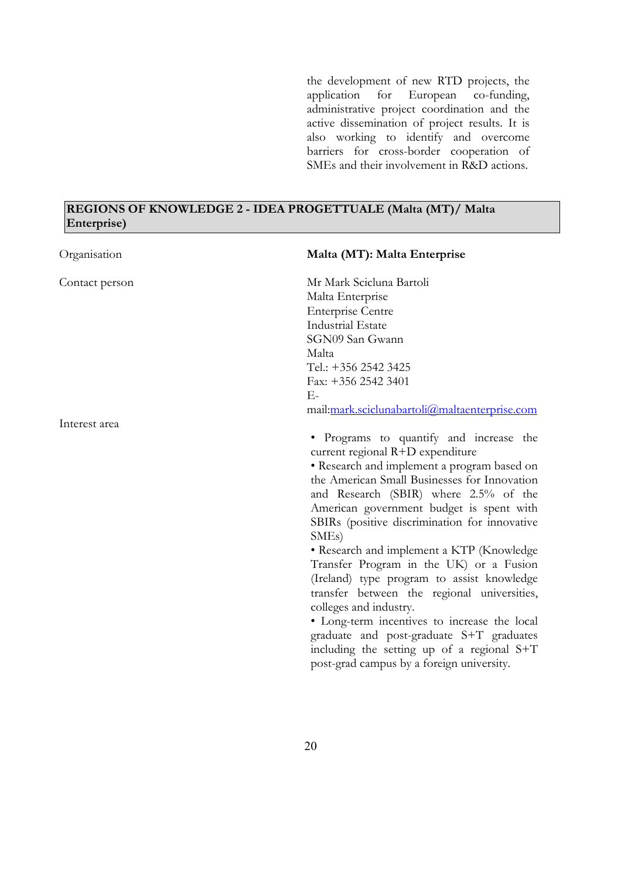the development of new RTD projects, the application for European co-funding, administrative project coordination and the active dissemination of project results. It is also working to identify and overcome barriers for cross-border cooperation of SMEs and their involvement in R&D actions.

#### **REGIONS OF KNOWLEDGE 2 - IDEA PROGETTUALE (Malta (MT)/ Malta Enterprise)**

| Organisation   | Malta (MT): Malta Enterprise                                                                                                                                                                                                                                                                                                                                                                                                                                                                                                                                                                                                                                                                                                                 |
|----------------|----------------------------------------------------------------------------------------------------------------------------------------------------------------------------------------------------------------------------------------------------------------------------------------------------------------------------------------------------------------------------------------------------------------------------------------------------------------------------------------------------------------------------------------------------------------------------------------------------------------------------------------------------------------------------------------------------------------------------------------------|
| Contact person | Mr Mark Scicluna Bartoli<br>Malta Enterprise<br><b>Enterprise Centre</b><br><b>Industrial Estate</b><br>SGN09 San Gwann<br>Malta<br>Tel.: +356 2542 3425<br>Fax: +356 2542 3401<br>Е-                                                                                                                                                                                                                                                                                                                                                                                                                                                                                                                                                        |
|                | mail:mark.sciclunabartoli@maltaenterprise.com                                                                                                                                                                                                                                                                                                                                                                                                                                                                                                                                                                                                                                                                                                |
| Interest area  | · Programs to quantify and increase the<br>current regional R+D expenditure<br>• Research and implement a program based on<br>the American Small Businesses for Innovation<br>and Research (SBIR) where 2.5% of the<br>American government budget is spent with<br>SBIRs (positive discrimination for innovative<br>SME <sub>s</sub> )<br>• Research and implement a KTP (Knowledge<br>Transfer Program in the UK) or a Fusion<br>(Ireland) type program to assist knowledge<br>transfer between the regional universities,<br>colleges and industry.<br>· Long-term incentives to increase the local<br>graduate and post-graduate S+T graduates<br>including the setting up of a regional S+T<br>post-grad campus by a foreign university. |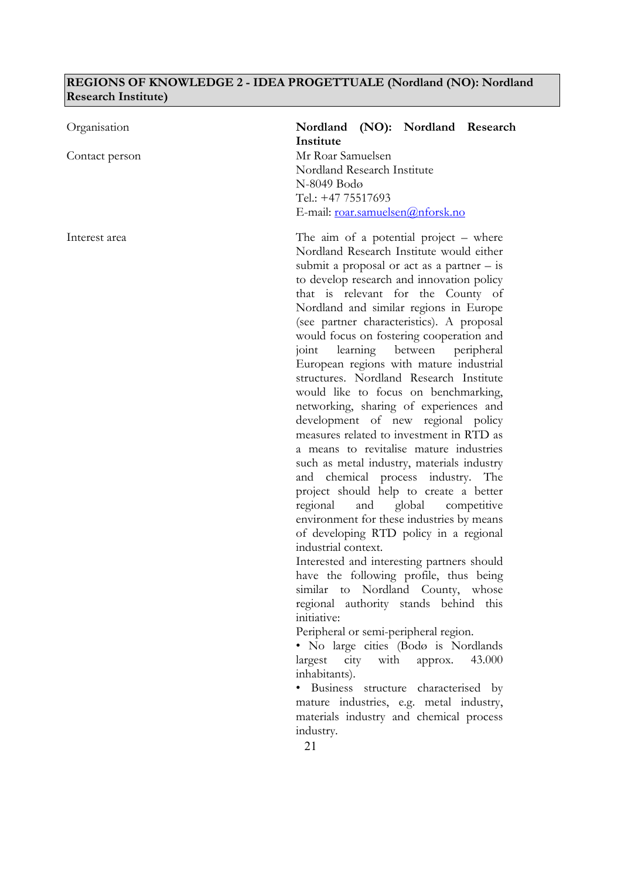### **REGIONS OF KNOWLEDGE 2 - IDEA PROGETTUALE (Nordland (NO): Nordland Research Institute)**

| Organisation   | Nordland (NO): Nordland Research<br>Institute                                                                                                                                                                                                                                                                                                                                                                                                                                                                                                                                                                                                                                                                                                                                                                                                                                                                                                                                                                                                                                                                                                                                                                                                                                                                                                                                                                                                                                       |
|----------------|-------------------------------------------------------------------------------------------------------------------------------------------------------------------------------------------------------------------------------------------------------------------------------------------------------------------------------------------------------------------------------------------------------------------------------------------------------------------------------------------------------------------------------------------------------------------------------------------------------------------------------------------------------------------------------------------------------------------------------------------------------------------------------------------------------------------------------------------------------------------------------------------------------------------------------------------------------------------------------------------------------------------------------------------------------------------------------------------------------------------------------------------------------------------------------------------------------------------------------------------------------------------------------------------------------------------------------------------------------------------------------------------------------------------------------------------------------------------------------------|
| Contact person | Mr Roar Samuelsen<br>Nordland Research Institute<br>N-8049 Bodø<br>Tel.: +47 75517693<br>E-mail: roar.samuelsen@nforsk.no                                                                                                                                                                                                                                                                                                                                                                                                                                                                                                                                                                                                                                                                                                                                                                                                                                                                                                                                                                                                                                                                                                                                                                                                                                                                                                                                                           |
| Interest area  | The aim of a potential project $-$ where<br>Nordland Research Institute would either<br>submit a proposal or act as a partner $-$ is<br>to develop research and innovation policy<br>that is relevant for the County of<br>Nordland and similar regions in Europe<br>(see partner characteristics). A proposal<br>would focus on fostering cooperation and<br>learning between peripheral<br>joint<br>European regions with mature industrial<br>structures. Nordland Research Institute<br>would like to focus on benchmarking,<br>networking, sharing of experiences and<br>development of new regional policy<br>measures related to investment in RTD as<br>a means to revitalise mature industries<br>such as metal industry, materials industry<br>and chemical process industry. The<br>project should help to create a better<br>global<br>regional<br>and<br>competitive<br>environment for these industries by means<br>of developing RTD policy in a regional<br>industrial context.<br>Interested and interesting partners should<br>have the following profile, thus being<br>similar to Nordland County, whose<br>regional authority stands behind this<br>initiative:<br>Peripheral or semi-peripheral region.<br>· No large cities (Bodø is Nordlands<br>city with<br>43.000<br>largest<br>approx.<br>inhabitants).<br>Business structure characterised by<br>mature industries, e.g. metal industry,<br>materials industry and chemical process<br>industry.<br>21 |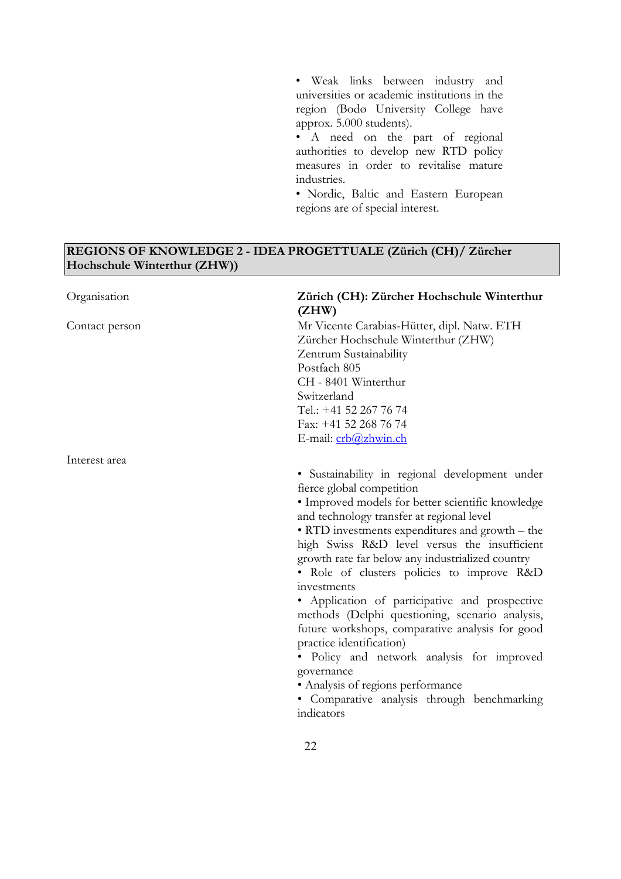• Weak links between industry and universities or academic institutions in the region (Bodø University College have approx. 5.000 students).

• A need on the part of regional authorities to develop new RTD policy measures in order to revitalise mature industries.

• Nordic, Baltic and Eastern European regions are of special interest.

### **REGIONS OF KNOWLEDGE 2 - IDEA PROGETTUALE (Zürich (CH)/ Zürcher Hochschule Winterthur (ZHW))**

| Organisation   | Zürich (CH): Zürcher Hochschule Winterthur<br>(ZHW)                                                                                                                                                                                                                                                                                                                                                                                                                                                                                                                                                                                                                                                                                                 |
|----------------|-----------------------------------------------------------------------------------------------------------------------------------------------------------------------------------------------------------------------------------------------------------------------------------------------------------------------------------------------------------------------------------------------------------------------------------------------------------------------------------------------------------------------------------------------------------------------------------------------------------------------------------------------------------------------------------------------------------------------------------------------------|
| Contact person | Mr Vicente Carabias-Hütter, dipl. Natw. ETH<br>Zürcher Hochschule Winterthur (ZHW)<br>Zentrum Sustainability<br>Postfach 805<br>CH - 8401 Winterthur<br>Switzerland<br>Tel.: +41 52 267 76 74<br>Fax: +41 52 268 76 74<br>E-mail: crb@zhwin.ch                                                                                                                                                                                                                                                                                                                                                                                                                                                                                                      |
| Interest area  |                                                                                                                                                                                                                                                                                                                                                                                                                                                                                                                                                                                                                                                                                                                                                     |
|                | • Sustainability in regional development under<br>fierce global competition<br>• Improved models for better scientific knowledge<br>and technology transfer at regional level<br>• RTD investments expenditures and growth - the<br>high Swiss R&D level versus the insufficient<br>growth rate far below any industrialized country<br>• Role of clusters policies to improve R&D<br>investments<br>· Application of participative and prospective<br>methods (Delphi questioning, scenario analysis,<br>future workshops, comparative analysis for good<br>practice identification)<br>· Policy and network analysis for improved<br>governance<br>• Analysis of regions performance<br>· Comparative analysis through benchmarking<br>indicators |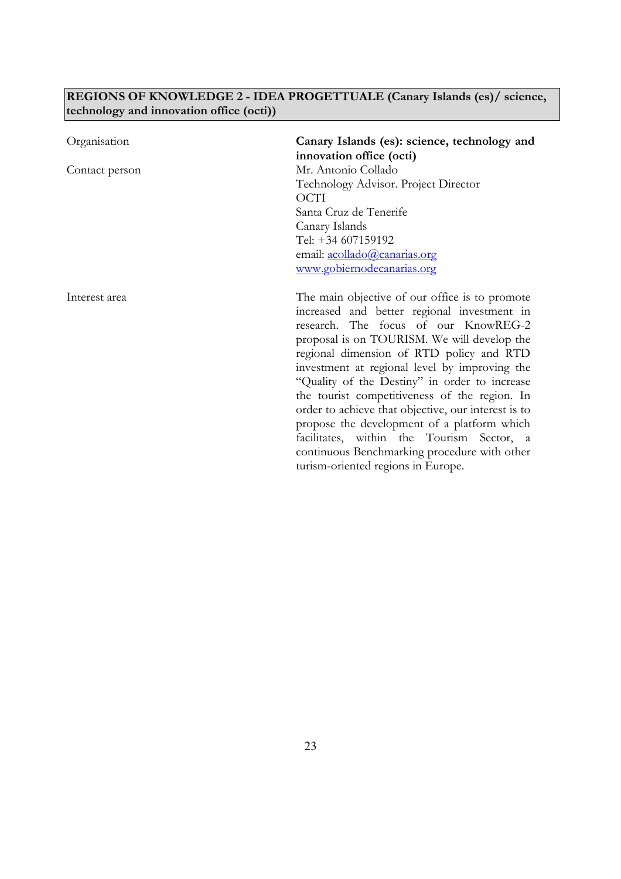### **REGIONS OF KNOWLEDGE 2 - IDEA PROGETTUALE (Canary Islands (es)/ science, technology and innovation office (octi))**

| Organisation   | Canary Islands (es): science, technology and<br>innovation office (octi)                                                                                                                                                                                                                                                                                                                                                                                                                                                                                                                                                     |
|----------------|------------------------------------------------------------------------------------------------------------------------------------------------------------------------------------------------------------------------------------------------------------------------------------------------------------------------------------------------------------------------------------------------------------------------------------------------------------------------------------------------------------------------------------------------------------------------------------------------------------------------------|
| Contact person | Mr. Antonio Collado<br>Technology Advisor. Project Director<br><b>OCTI</b><br>Santa Cruz de Tenerife<br>Canary Islands<br>Tel: +34 607159192<br>email: acollado@canarias.org<br>www.gobiernodecanarias.org                                                                                                                                                                                                                                                                                                                                                                                                                   |
| Interest area  | The main objective of our office is to promote<br>increased and better regional investment in<br>research. The focus of our KnowREG-2<br>proposal is on TOURISM. We will develop the<br>regional dimension of RTD policy and RTD<br>investment at regional level by improving the<br>"Quality of the Destiny" in order to increase<br>the tourist competitiveness of the region. In<br>order to achieve that objective, our interest is to<br>propose the development of a platform which<br>facilitates, within the Tourism Sector, a<br>continuous Benchmarking procedure with other<br>turism-oriented regions in Europe. |